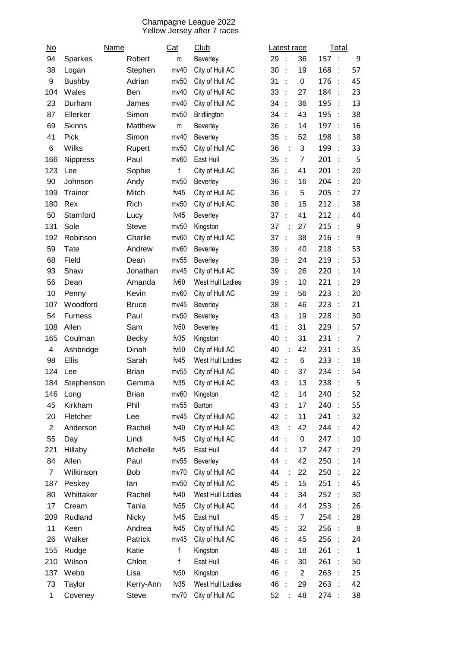## Champagne League 2022 Yellow Jersey after 7 races

| $\underline{\mathsf{No}}$ | Name            |              | Cat     | Club             |      |                        | Latest race    |      | Total                |                |
|---------------------------|-----------------|--------------|---------|------------------|------|------------------------|----------------|------|----------------------|----------------|
| 94                        | Sparkes         | Robert       | m       | Beverley         | 29   | $\ddot{\phantom{1}}$ : | 36             | 157: |                      | 9              |
| 38                        | Logan           | Stephen      | mv40    | City of Hull AC  | 30   | $\cdot$                | 19             | 168  | $\ddot{\phantom{a}}$ | 57             |
| 9                         | <b>Bushby</b>   | Adrian       | mv50    | City of Hull AC  | 31   | $\cdot$                | $\mathbf 0$    | 176  | ċ                    | 45             |
| 104                       | Wales           | Ben          | mv40    | City of Hull AC  | 33   | $\ddots$               | 27             | 184  | t                    | 23             |
| 23                        | Durham          | James        | mv40    | City of Hull AC  | 34   | $\cdot$                | 36             | 195  | t                    | 13             |
| 87                        | Ellerker        | Simon        | mv50    | Bridlington      | 34   | $\cdot$                | 43             | 195  | ÷                    | 38             |
| 69                        | <b>Skinns</b>   | Matthew      | m       | Beverley         | 36   | $\ddot{\cdot}$         | 14             | 197  | $\ddot{\phantom{a}}$ | 16             |
| 41                        | Pick            | Simon        | mv40    | Beverley         | 35   | $\ddot{\cdot}$         | 52             | 198  | t                    | 38             |
| 6                         | Wilks           | Rupert       | mv50    | City of Hull AC  | 36   | ÷                      | 3              | 199  | $\cdot$ :            | 33             |
| 166                       | <b>Nippress</b> | Paul         | mv60    | East Hull        | 35   | $\cdot$ :              | $\overline{7}$ | 201  |                      | 5              |
| 123                       | Lee             | Sophie       | f       | City of Hull AC  | 36   | $\cdot$                | 41             | 201  | ÷                    | 20             |
| 90                        | Johnson         | Andy         | mv50    | Beverley         | 36   | $\cdot$                | 16             | 204  | t                    | 20             |
| 199                       | Trainor         | Mitch        | fv45    | City of Hull AC  | 36   | $\cdot$ :              | 5              | 205  | ÷                    | 27             |
| 180                       | Rex             | Rich         | mv50    | City of Hull AC  | 38   | $\ddot{\phantom{1}}$   | 15             | 212  | $\mathbf{L}$         | 38             |
| 50                        | Stamford        | Lucy         | fv45    | Beverley         | 37   | $\cdot$                | 41             | 212  | ÷                    | 44             |
| 131                       | Sole            | <b>Steve</b> | mv50    | Kingston         | 37   | ÷                      | 27             | 215  | $\cdot$ :            | 9              |
| 192                       | Robinson        | Charlie      | mv60    | City of Hull AC  | 37   | $\ddot{\cdot}$         | 38             | 216  |                      | 9              |
| 59                        | Tate            | Andrew       | mv60    | Beverley         | 39   | $\ddot{\cdot}$         | 40             | 218  | t                    | 53             |
| 68                        | Field           | Dean         | mv55    | Beverley         | 39   | $\cdot$ :              | 24             | 219  | $\ddot{\phantom{a}}$ | 53             |
| 93                        | Shaw            | Jonathan     | mv45    | City of Hull AC  | 39   | $\ddot{\phantom{a}}$   | 26             | 220  | $\ddot{\phantom{a}}$ | 14             |
| 56                        | Dean            | Amanda       | fv60    | West Hull Ladies | 39   | $\cdot$                | 10             | 221  | $\ddot{\phantom{a}}$ | 29             |
| 10                        | Penny           | Kevin        | mv60    | City of Hull AC  | 39   | $\ddot{\cdot}$         | 56             | 223  |                      | 20             |
| 107                       | Woodford        | <b>Bruce</b> | mv45    | Beverley         | 38   | $\ddot{\phantom{1}}$   | 46             | 223  | $\ddot{\phantom{a}}$ | 21             |
| 54                        | <b>Furness</b>  | Paul         | mv50    | Beverley         | 43   | $\cdot$                | 19             | 228  |                      | 30             |
| 108                       | Allen           | Sam          | fv50    | Beverley         | 41   | $\ddot{\cdot}$         | 31             | 229  | ÷                    | 57             |
| 165                       | Coulman         | <b>Becky</b> | fv35    | Kingston         | 40   | $\cdot$                | 31             | 231  | $\ddot{\phantom{a}}$ | $\overline{7}$ |
| 4                         | Ashbridge       | Dinah        | fv50    | City of Hull AC  | 40   |                        | 42             | 231  | ÷                    | 35             |
| 98                        | Ellis           | Sarah        | fv45    | West Hull Ladies | 42   | $\cdot$ :              | 6              | 233  | $\cdot$ :            | 18             |
| 124                       | Lee             | <b>Brian</b> | mv55    | City of Hull AC  | 40   | $\cdot$                | 37             | 234  |                      | 54             |
| 184                       | Stephenson      | Gemma        | fv35    | City of Hull AC  | 43   | $\cdot$                | 13             | 238  |                      | 5              |
| 146                       | Long            | <b>Brian</b> | mv60    | Kingston         | 42   | $\ddot{\phantom{1}}$   | 14             | 240  | $\cdot$ :            | 52             |
| 45                        | Kirkham         | Phil         | mv55    | Barton           | 43   | $\ddot{\phantom{1}}$ : | 17             | 240  | ÷                    | 55             |
| 20                        | Fletcher        | Lee          | mv45    | City of Hull AC  | 42   | $\cdot$ :              | 11             | 241  | $\mathbf{r}$         | 32             |
| $\overline{c}$            | Anderson        | Rachel       | fv40    | City of Hull AC  | 43   |                        | 42             | 244  | $\mathbf{L}$         | 42             |
| 55                        | Day             | Lindi        | fv $45$ | City of Hull AC  | 44   | $\cdot$ :              | $\pmb{0}$      | 247  | $\mathbf{L}$         | 10             |
| 221                       | Hillaby         | Michelle     | fv45    | East Hull        | 44   | $\cdot$ :              | 17             | 247  |                      | 29             |
| 84                        | Allen           | Paul         | mv55    | Beverley         | 44   | $\cdot$ :              | 42             | 250  | ÷                    | 14             |
| $\overline{7}$            | Wilkinson       | <b>Bob</b>   | mv70    | City of Hull AC  | 44   | t                      | 22             | 250  | ÷.                   | 22             |
| 187                       | Peskey          | lan          | mv50    | City of Hull AC  | 45 : |                        | 15             | 251  | $\mathbb{R}^2$       | 45             |
| 80                        | Whittaker       | Rachel       | fv40    | West Hull Ladies | 44   | $\cdot$ :              | 34             | 252  | $\sim$               | 30             |
| 17                        | Cream           | Tania        | fv55    | City of Hull AC  | 44   | $\cdot$ :              | 44             | 253  | $\mathbb{R}^2$       | 26             |
| 209                       | Rudland         | <b>Nicky</b> | fv45    | East Hull        | 45   | $\cdot$ :              | $\overline{7}$ | 254  | $\cdot$ :            | 28             |
| 11                        | Keen            | Andrea       | fv45    | City of Hull AC  | 45   | $\ddot{\cdot}$         | 32             | 256  | $\mathbf{L}$         | 8              |
| 26                        | Walker          | Patrick      | mv45    | City of Hull AC  | 46   | $\ddot{\cdot}$         | 45             | 256  | $\mathbf{L}$         | 24             |
| 155                       | Rudge           | Katie        | f       | Kingston         | 48   | $\therefore$           | 18             | 261  | $\cdot$ :            | $\mathbf{1}$   |
| 210                       | Wilson          | Chloe        | f       | East Hull        | 46 : |                        | 30             | 261  | $\sim$               | 50             |
| 137                       | Webb            | Lisa         | fv50    | Kingston         | 46   | $\cdot$ :              | $\overline{2}$ | 263  | $\cdot$ :            | 25             |
| 73                        | Taylor          | Kerry-Ann    | fv35    | West Hull Ladies | 46   | $\ddot{\phantom{1}}$   | 29             | 263  |                      | 42             |
| $\mathbf{1}$              | Coveney         | <b>Steve</b> | mv70    | City of Hull AC  | 52   |                        | 48             | 274  | $\mathbf{L}$         | 38             |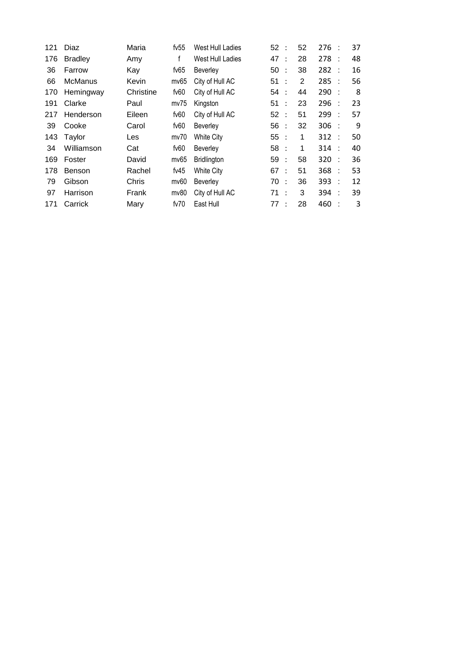| 121 | Diaz           | Maria     | fv $55$ | West Hull Ladies   | 52: |                      | 52 | 276     |           | 37 |
|-----|----------------|-----------|---------|--------------------|-----|----------------------|----|---------|-----------|----|
| 176 | <b>Bradley</b> | Amy       | f       | West Hull Ladies   | 47  | $\ddot{\phantom{1}}$ | 28 | 278     | $\cdot$ : | 48 |
| 36  | Farrow         | Kay       | fv $65$ | <b>Beverley</b>    | 50  | $\cdot$ :            | 38 | 282     |           | 16 |
| 66  | <b>McManus</b> | Kevin     | mv65    | City of Hull AC    | 51: |                      | 2  | 285     |           | 56 |
| 170 | Hemingway      | Christine | fv60    | City of Hull AC    | 54  | $\cdot$ :            | 44 | 290     |           | 8  |
| 191 | Clarke         | Paul      | mv75    | Kingston           | 51  | $\cdot$ :            | 23 | 296     |           | 23 |
| 217 | Henderson      | Eileen    | fv60    | City of Hull AC    | 52: |                      | 51 | 299     | ÷         | 57 |
| 39  | Cooke          | Carol     | fv60    | Beverley           | 56: |                      | 32 | $306$ : |           | 9  |
| 143 | Taylor         | Les       | mv70    | White City         | 55  | $\cdot$ :            | 1  | 312     | ÷         | 50 |
| 34  | Williamson     | Cat       | fv60    | Beverley           | 58: |                      | 1  | 314     |           | 40 |
| 169 | Foster         | David     | mv65    | <b>Bridlington</b> | 59: |                      | 58 | 320     | ÷         | 36 |
| 178 | <b>Benson</b>  | Rachel    | fv $45$ | White City         | 67: |                      | 51 | 368     |           | 53 |
| 79  | Gibson         | Chris     | mv60    | Beverley           | 70  | $\cdot$ :            | 36 | 393     | ÷         | 12 |
| 97  | Harrison       | Frank     | mv80    | City of Hull AC    | 71: |                      | 3  | 394     |           | 39 |
| 171 | Carrick        | Mary      | fv70    | East Hull          | 77: |                      | 28 | 460     | t         | 3  |